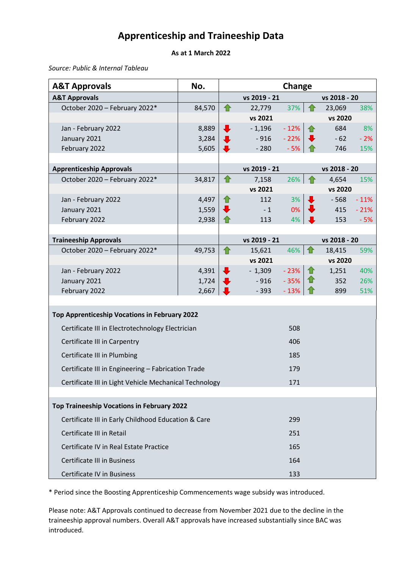## **Apprenticeship and Traineeship Data**

## **As at 1 March 2022**

*Source: Public & Internal Tableau*

| <b>A&amp;T Approvals</b>                               | No.    | Change               |                  |                     |              |                  |        |
|--------------------------------------------------------|--------|----------------------|------------------|---------------------|--------------|------------------|--------|
| <b>A&amp;T Approvals</b>                               |        |                      | vs 2019 - 21     |                     |              | vs 2018 - 20     |        |
| October 2020 - February 2022*                          | 84,570 | 合                    | 22,779           | $37\%$ <del>1</del> |              | 23,069           | 38%    |
|                                                        |        |                      | vs 2021          |                     |              | vs 2020          |        |
| Jan - February 2022                                    | 8,889  | $\ddagger$           | $-1,196$         | $-12%$              | 仐            | 684              | 8%     |
| January 2021                                           | 3,284  | $\ddagger$           | $-916$           | $-22%$              |              | $-62$            | $-2%$  |
| February 2022                                          | 5,605  | $\ddot{\phantom{a}}$ | $-280$           | $-5%$               |              | 746              | 15%    |
|                                                        |        |                      |                  |                     |              |                  |        |
| <b>Apprenticeship Approvals</b>                        |        |                      | vs 2019 - 21     |                     |              | vs 2018 - 20     |        |
| October 2020 - February 2022*                          | 34,817 | ⇑                    | 7,158<br>vs 2021 | 26%                 |              | 4,654<br>vs 2020 | 15%    |
| Jan - February 2022                                    | 4,497  | ⇑                    | 112              | 3%                  | $\mathbf{J}$ | $-568$           | $-11%$ |
| January 2021                                           | 1,559  | $\biguplus$          | $-1$             | 0%                  |              | 415              | $-21%$ |
| February 2022                                          | 2,938  |                      | 113              | 4%                  |              | 153              | $-5%$  |
|                                                        |        |                      |                  |                     |              |                  |        |
| <b>Traineeship Approvals</b>                           |        |                      | vs 2019 - 21     |                     |              | vs 2018 - 20     |        |
| October 2020 - February 2022*                          | 49,753 | 仚                    | 15,621           | $46\%$ 1            |              | 18,415           | 59%    |
|                                                        |        |                      | vs 2021          |                     |              | vs 2020          |        |
| Jan - February 2022                                    | 4,391  | $\ddagger$           | $-1,309$         | $-23%$              | $\mathbf{1}$ | 1,251            | 40%    |
| January 2021                                           | 1,724  | $\ddot{\phantom{a}}$ | $-916$           | $-35%$              | 廿            | 352              | 26%    |
| February 2022                                          | 2,667  | J                    | $-393$           | $-13%$              |              | 899              | 51%    |
|                                                        |        |                      |                  |                     |              |                  |        |
| Top Apprenticeship Vocations in February 2022          |        |                      |                  |                     |              |                  |        |
| Certificate III in Electrotechnology Electrician       |        |                      |                  | 508                 |              |                  |        |
| Certificate III in Carpentry                           |        |                      |                  | 406                 |              |                  |        |
| Certificate III in Plumbing                            |        |                      |                  | 185                 |              |                  |        |
| Certificate III in Engineering - Fabrication Trade     |        |                      |                  | 179                 |              |                  |        |
| Certificate III in Light Vehicle Mechanical Technology |        |                      |                  | 171                 |              |                  |        |
|                                                        |        |                      |                  |                     |              |                  |        |
| <b>Top Traineeship Vocations in February 2022</b>      |        |                      |                  |                     |              |                  |        |
| Certificate III in Early Childhood Education & Care    |        |                      |                  | 299                 |              |                  |        |
| Certificate III in Retail                              |        |                      |                  | 251                 |              |                  |        |
| Certificate IV in Real Estate Practice                 |        |                      |                  | 165                 |              |                  |        |
| <b>Certificate III in Business</b>                     |        |                      |                  | 164                 |              |                  |        |
| Certificate IV in Business                             |        |                      |                  | 133                 |              |                  |        |

\* Period since the Boosting Apprenticeship Commencements wage subsidy was introduced.

Please note: A&T Approvals continued to decrease from November 2021 due to the decline in the traineeship approval numbers. Overall A&T approvals have increased substantially since BAC was introduced.